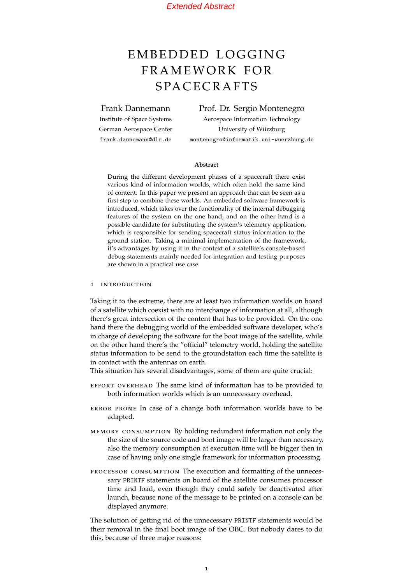# <span id="page-0-0"></span>EMBEDDED LOGGING FRAMEWORK FOR **SPACECRAFTS**

Frank Dannemann

Institute of Space Systems German Aerospace Center frank.dannemann@dlr.de

Prof. Dr. Sergio Montenegro Aerospace Information Technology University of Wurzburg ¨ montenegro@informatik.uni-wuerzburg.de

#### **Abstract**

During the different development phases of a spacecraft there exist various kind of information worlds, which often hold the same kind of content. In this paper we present an approach that can be seen as a first step to combine these worlds. An embedded software framework is introduced, which takes over the functionality of the internal debugging features of the system on the one hand, and on the other hand is a possible candidate for substituting the system's telemetry application, which is responsible for sending spacecraft status information to the ground station. Taking a minimal implementation of the framework, it's advantages by using it in the context of a satellite's console-based debug statements mainly needed for integration and testing purposes are shown in a practical use case.

#### 1 introduction

Taking it to the extreme, there are at least two information worlds on board of a satellite which coexist with no interchange of information at all, although there's great intersection of the content that has to be provided. On the one hand there the debugging world of the embedded software developer, who's in charge of developing the software for the boot image of the satellite, while on the other hand there's the "official" telemetry world, holding the satellite status information to be send to the groundstation each time the satellite is in contact with the antennas on earth.

This situation has several disadvantages, some of them are quite crucial:

- effort overhead The same kind of information has to be provided to both information worlds which is an unnecessary overhead.
- error prone In case of a change both information worlds have to be adapted.
- memory consumption By holding redundant information not only the the size of the source code and boot image will be larger than necessary, also the memory consumption at execution time will be bigger then in case of having only one single framework for information processing.
- processor consumption The execution and formatting of the unnecessary PRINTF statements on board of the satellite consumes processor time and load, even though they could safely be deactivated after launch, because none of the message to be printed on a console can be displayed anymore.

The solution of getting rid of the unnecessary PRINTF statements would be their removal in the final boot image of the OBC. But nobody dares to do this, because of three major reasons: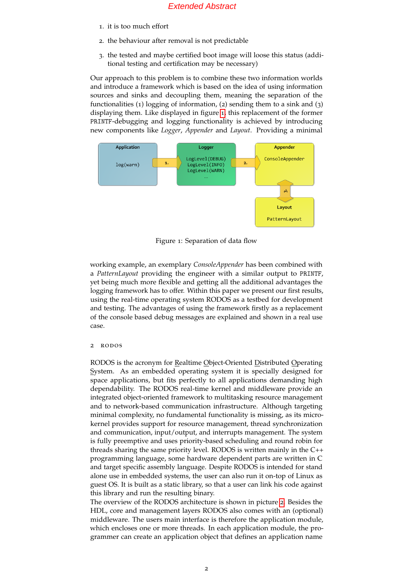- 1. it is too much effort
- 2. the behaviour after removal is not predictable
- 3. the tested and maybe certified boot image will loose this status (additional testing and certification may be necessary)

Our approach to this problem is to combine these two information worlds and introduce a framework which is based on the idea of using information sources and sinks and decoupling them, meaning the separation of the functionalities (1) logging of information, (2) sending them to a sink and (3) displaying them. Like displayed in figure [1](#page-1-0), this replacement of the former PRINTF-debugging and logging functionality is achieved by introducing new components like *Logger*, *Appender* and *Layout*. Providing a minimal



<span id="page-1-0"></span>Figure 1: Separation of data flow

working example, an exemplary *ConsoleAppender* has been combined with a *PatternLayout* providing the engineer with a similar output to PRINTF, yet being much more flexible and getting all the additional advantages the logging framework has to offer. Within this paper we present our first results, using the real-time operating system RODOS as a testbed for development and testing. The advantages of using the framework firstly as a replacement of the console based debug messages are explained and shown in a real use case.

### 2 rodos

RODOS is the acronym for Realtime Object-Oriented Distributed Operating System. As an embedded operating system it is specially designed for space applications, but fits perfectly to all applications demanding high dependability. The RODOS real-time kernel and middleware provide an integrated object-oriented framework to multitasking resource management and to network-based communication infrastructure. Although targeting minimal complexity, no fundamental functionality is missing, as its microkernel provides support for resource management, thread synchronization and communication, input/output, and interrupts management. The system is fully preemptive and uses priority-based scheduling and round robin for threads sharing the same priority level. RODOS is written mainly in the C++ programming language, some hardware dependent parts are written in C and target specific assembly language. Despite RODOS is intended for stand alone use in embedded systems, the user can also run it on-top of Linux as guest OS. It is built as a static library, so that a user can link his code against this library and run the resulting binary.

The overview of the RODOS architecture is shown in picture [2](#page-2-0). Besides the HDL, core and management layers RODOS also comes with an (optional) middleware. The users main interface is therefore the application module, which encloses one or more threads. In each application module, the programmer can create an application object that defines an application name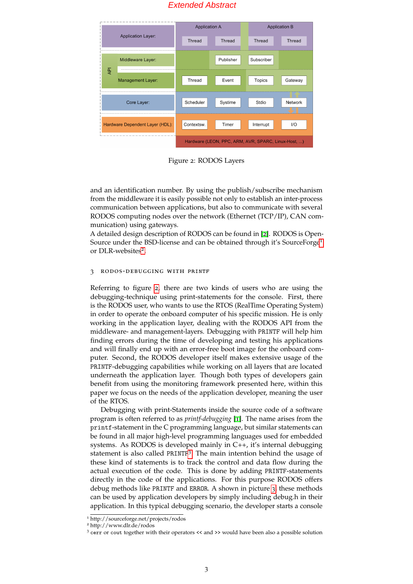

<span id="page-2-0"></span>Figure 2: RODOS Layers

and an identification number. By using the publish/subscribe mechanism from the middleware it is easily possible not only to establish an inter-process communication between applications, but also to communicate with several RODOS computing nodes over the network (Ethernet (TCP/IP), CAN communication) using gateways.

A detailed design description of RODOS can be found in [[2](#page-4-0)]. RODOS is Open-Source under the BSD-license and can be obtained through it's SourceForge<sup>[1](#page-0-0)</sup> or DLR-websites<sup>[2](#page-0-0)</sup>.

## 3 rodos-debugging with printf

Referring to figure [2](#page-2-0), there are two kinds of users who are using the debugging-technique using print-statements for the console. First, there is the RODOS user, who wants to use the RTOS (RealTime Operating System) in order to operate the onboard computer of his specific mission. He is only working in the application layer, dealing with the RODOS API from the middleware- and management-layers. Debugging with PRINTF will help him finding errors during the time of developing and testing his applications and will finally end up with an error-free boot image for the onboard computer. Second, the RODOS developer itself makes extensive usage of the PRINTF-debugging capabilities while working on all layers that are located underneath the application layer. Though both types of developers gain benefit from using the monitoring framework presented here, within this paper we focus on the needs of the application developer, meaning the user of the RTOS.

Debugging with print-Statements inside the source code of a software program is often referred to as *printf-debugging* [[1](#page-4-1)]. The name arises from the printf-statement in the C programming language, but similar statements can be found in all major high-level programming languages used for embedded systems. As RODOS is developed mainly in  $C_{++}$ , it's internal debugging statement is also called PRINTF<sup>[3](#page-0-0)</sup>. The main intention behind the usage of these kind of statements is to track the control and data flow during the actual execution of the code. This is done by adding PRINTF-statements directly in the code of the applications. For this purpose RODOS offers debug methods like PRINTF and ERROR. A shown in picture [3](#page-3-0), these methods can be used by application developers by simply including debug.h in their application. In this typical debugging scenario, the developer starts a console

<sup>1</sup> http://sourceforge.net/projects/rodos

<sup>2</sup> http://www.dlr.de/rodos

<sup>3</sup> cerr or cout together with their operators << and >> would have been also a possible solution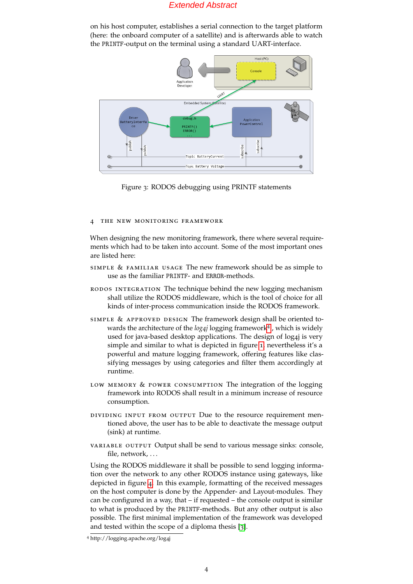on his host computer, establishes a serial connection to the target platform (here: the onboard computer of a satellite) and is afterwards able to watch the PRINTF-output on the terminal using a standard UART-interface.



<span id="page-3-0"></span>Figure 3: RODOS debugging using PRINTF statements

#### 4 the new monitoring framework

When designing the new monitoring framework, there where several requirements which had to be taken into account. Some of the most important ones are listed here:

- simple & familiar usage The new framework should be as simple to use as the familiar PRINTF- and ERROR-methods.
- rodos integration The technique behind the new logging mechanism shall utilize the RODOS middleware, which is the tool of choice for all kinds of inter-process communication inside the RODOS framework.
- simple & approved design The framework design shall be oriented towards the architecture of the *log4j* logging framework[4](#page-0-0) , which is widely used for java-based desktop applications. The design of log4j is very simple and similar to what is depicted in figure [1](#page-1-0), nevertheless it's a powerful and mature logging framework, offering features like classifying messages by using categories and filter them accordingly at runtime.
- LOW MEMORY & POWER CONSUMPTION The integration of the logging framework into RODOS shall result in a minimum increase of resource consumption.
- dividing input from output Due to the resource requirement mentioned above, the user has to be able to deactivate the message output (sink) at runtime.
- variable output Output shall be send to various message sinks: console, file, network, ...

Using the RODOS middleware it shall be possible to send logging information over the network to any other RODOS instance using gateways, like depicted in figure [4](#page-4-2). In this example, formatting of the received messages on the host computer is done by the Appender- and Layout-modules. They can be configured in a way, that – if requested – the console output is similar to what is produced by the PRINTF-methods. But any other output is also possible. The first minimal implementation of the framework was developed and tested within the scope of a diploma thesis [[3](#page-4-3)].

<sup>4</sup> http://logging.apache.org/log4j